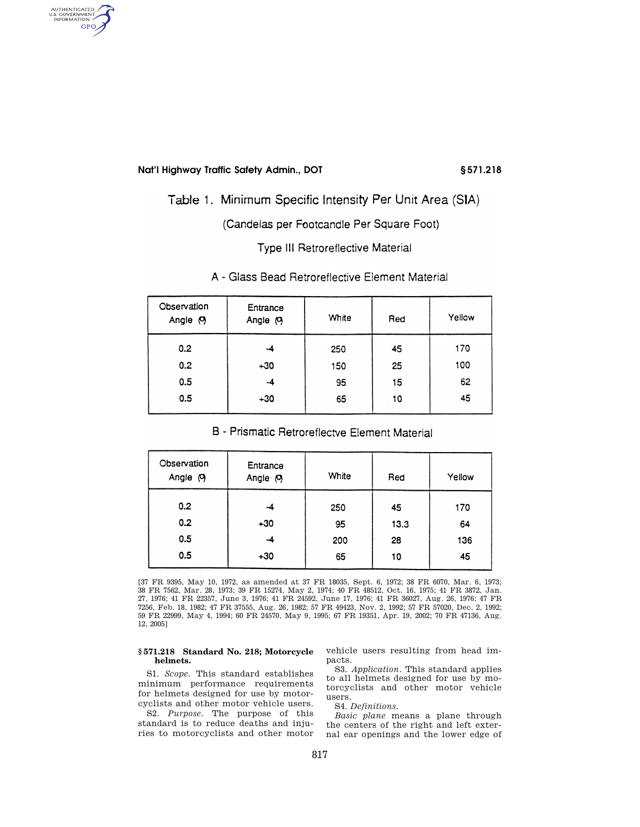AUTHENTICATED<br>U.S. GOVERNMENT<br>INFORMATION **GPO** 

# Table 1. Minimum Specific Intensity Per Unit Area (SIA)

(Candelas per Footcandle Per Square Foot)

**Type III Retroreflective Material** 

| Observation<br>Angle (9) | Entrance<br>Angle (9) | White | Red | Yellow |
|--------------------------|-----------------------|-------|-----|--------|
| 0.2                      | -4                    | 250   | 45  | 170    |
| 0.2                      | $+30$                 | 150   | 25  | 100    |
| 0.5                      | -4                    | 95    | 15  | 62     |
| 0.5                      | $+30$                 | 65    | 10  | 45     |

### A - Glass Bead Retroreflective Element Material

## B - Prismatic Retroreflectve Element Material

| Observation<br>Angle (9) | Entrance<br>Angle (9) | White | Red  | Yellow |
|--------------------------|-----------------------|-------|------|--------|
| 0.2                      | -4                    | 250   | 45   | 170    |
| 0.2                      | $+30$                 | 95    | 13.3 | 64     |
| 0.5                      | -4                    | 200   | 28   | 136    |
| 0.5                      | $+30$                 | 65    | 10   | 45     |

[37 FR 9395, May 10, 1972, as amended at 37 FR 18035, Sept. 6, 1972; 38 FR 6070, Mar. 6, 1973; 38 FR 7562, Mar. 28, 1973; 39 FR 15274, May 2, 1974; 40 FR 48512, Oct. 16, 1975; 41 FR 3872, Jan. 27, 1976; 41 FR 22357, June 3, 1976; 41 FR 24592, June 17, 1976; 41 FR 36027, Aug. 26, 1976; 47 FR 7256, Feb. 18, 1982; 47 FR 37555, Aug. 26, 1982; 57 FR 49423, Nov. 2, 1992; 57 FR 57020, Dec. 2, 1992; 59 FR 22999, May 4, 1994; 60 FR 24570, May 9, 1995; 67 FR 19351, Apr. 19, 2002; 70 FR 47136, Aug. 12, 2005]

#### **§ 571.218 Standard No. 218; Motorcycle helmets.**

S1. *Scope.* This standard establishes minimum performance requirements for helmets designed for use by motorcyclists and other motor vehicle users.

S2. *Purpose.* The purpose of this standard is to reduce deaths and injuries to motorcyclists and other motor vehicle users resulting from head impacts.

S3. *Application.* This standard applies to all helmets designed for use by motorcyclists and other motor vehicle users.

S4. *Definitions.* 

*Basic plane* means a plane through the centers of the right and left external ear openings and the lower edge of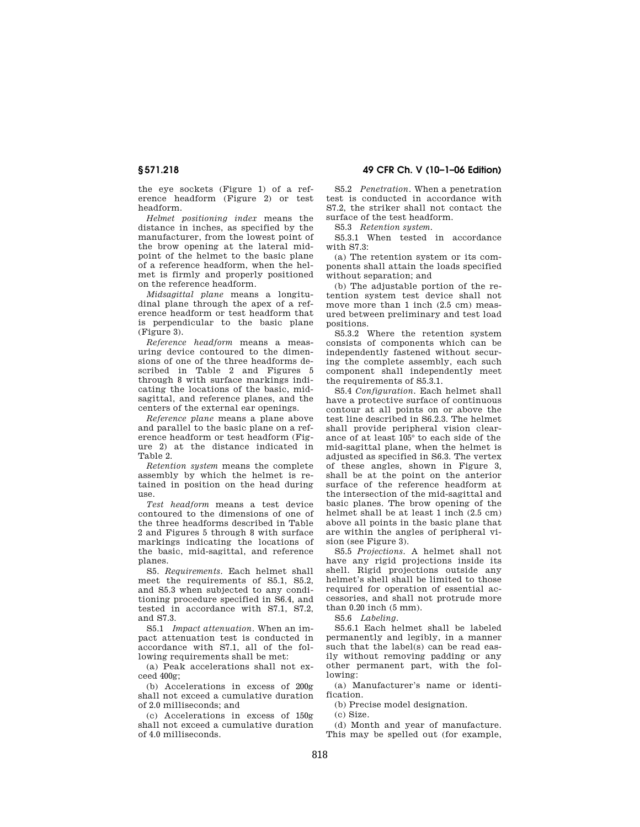the eye sockets (Figure 1) of a reference headform (Figure 2) or test headform.

*Helmet positioning index* means the distance in inches, as specified by the manufacturer, from the lowest point of the brow opening at the lateral midpoint of the helmet to the basic plane of a reference headform, when the helmet is firmly and properly positioned on the reference headform.

*Midsagittal plane* means a longitudinal plane through the apex of a reference headform or test headform that is perpendicular to the basic plane (Figure 3).

*Reference headform* means a measuring device contoured to the dimensions of one of the three headforms described in Table 2 and Figures 5 through 8 with surface markings indicating the locations of the basic, midsagittal, and reference planes, and the centers of the external ear openings.

*Reference plane* means a plane above and parallel to the basic plane on a reference headform or test headform (Figure 2) at the distance indicated in Table 2.

*Retention system* means the complete assembly by which the helmet is retained in position on the head during use.

*Test headform* means a test device contoured to the dimensions of one of the three headforms described in Table 2 and Figures 5 through 8 with surface markings indicating the locations of the basic, mid-sagittal, and reference planes.

S5. *Requirements.* Each helmet shall meet the requirements of S5.1, S5.2, and S5.3 when subjected to any conditioning procedure specified in S6.4, and tested in accordance with S7.1, S7.2, and S7.3.

S5.1 *Impact attenuation.* When an impact attenuation test is conducted in accordance with S7.1, all of the following requirements shall be met:

(a) Peak accelerations shall not exceed 400g;

(b) Accelerations in excess of 200g shall not exceed a cumulative duration of 2.0 milliseconds; and

(c) Accelerations in excess of 150g shall not exceed a cumulative duration of 4.0 milliseconds.

**§ 571.218 49 CFR Ch. V (10–1–06 Edition)** 

S5.2 *Penetration.* When a penetration test is conducted in accordance with S7.2, the striker shall not contact the surface of the test headform.

S5.3 *Retention system.* 

S5.3.1 When tested in accordance with S7.3:

(a) The retention system or its components shall attain the loads specified without separation; and

(b) The adjustable portion of the retention system test device shall not move more than 1 inch (2.5 cm) measured between preliminary and test load positions.

S5.3.2 Where the retention system consists of components which can be independently fastened without securing the complete assembly, each such component shall independently meet the requirements of S5.3.1.

S5.4 *Configuration.* Each helmet shall have a protective surface of continuous contour at all points on or above the test line described in S6.2.3. The helmet shall provide peripheral vision clearance of at least 105° to each side of the mid-sagittal plane, when the helmet is adjusted as specified in S6.3. The vertex of these angles, shown in Figure 3, shall be at the point on the anterior surface of the reference headform at the intersection of the mid-sagittal and basic planes. The brow opening of the helmet shall be at least 1 inch (2.5 cm) above all points in the basic plane that are within the angles of peripheral vision (see Figure 3).

S5.5 *Projections.* A helmet shall not have any rigid projections inside its shell. Rigid projections outside any helmet's shell shall be limited to those required for operation of essential accessories, and shall not protrude more than 0.20 inch (5 mm).

S5.6 *Labeling.* 

S5.6.1 Each helmet shall be labeled permanently and legibly, in a manner such that the label(s) can be read easily without removing padding or any other permanent part, with the following:

(a) Manufacturer's name or identification.

(b) Precise model designation.

(c) Size.

(d) Month and year of manufacture. This may be spelled out (for example,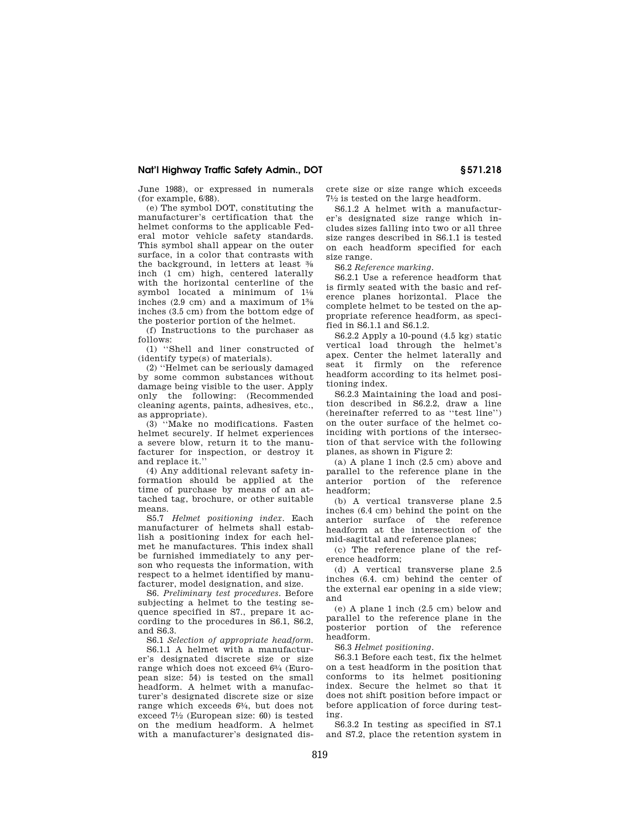June 1988), or expressed in numerals (for example, 6/88).

(e) The symbol DOT, constituting the manufacturer's certification that the helmet conforms to the applicable Federal motor vehicle safety standards. This symbol shall appear on the outer surface, in a color that contrasts with the background, in letters at least 3⁄8 inch (1 cm) high, centered laterally with the horizontal centerline of the symbol located a minimum of  $1\frac{1}{8}$ inches (2.9 cm) and a maximum of 13⁄8 inches (3.5 cm) from the bottom edge of the posterior portion of the helmet.

(f) Instructions to the purchaser as follows:

(1) ''Shell and liner constructed of (identify type(s) of materials).

(2) ''Helmet can be seriously damaged by some common substances without damage being visible to the user. Apply only the following: (Recommended cleaning agents, paints, adhesives, etc., as appropriate).

(3) ''Make no modifications. Fasten helmet securely. If helmet experiences a severe blow, return it to the manufacturer for inspection, or destroy it and replace it.''

(4) Any additional relevant safety information should be applied at the time of purchase by means of an attached tag, brochure, or other suitable means.

S5.7 *Helmet positioning index.* Each manufacturer of helmets shall establish a positioning index for each helmet he manufactures. This index shall be furnished immediately to any person who requests the information, with respect to a helmet identified by manufacturer, model designation, and size.

S6. *Preliminary test procedures.* Before subjecting a helmet to the testing sequence specified in S7., prepare it according to the procedures in S6.1, S6.2, and S6.3.

S6.1 *Selection of appropriate headform.* 

S6.1.1 A helmet with a manufacturer's designated discrete size or size range which does not exceed 63⁄4 (European size: 54) is tested on the small headform. A helmet with a manufacturer's designated discrete size or size range which exceeds 63⁄4, but does not exceed 71⁄2 (European size: 60) is tested on the medium headform. A helmet with a manufacturer's designated discrete size or size range which exceeds 71⁄2 is tested on the large headform.

S6.1.2 A helmet with a manufacturer's designated size range which includes sizes falling into two or all three size ranges described in S6.1.1 is tested on each headform specified for each size range.

S6.2 *Reference marking.* 

S6.2.1 Use a reference headform that is firmly seated with the basic and reference planes horizontal. Place the complete helmet to be tested on the appropriate reference headform, as specified in S6.1.1 and S6.1.2.

S6.2.2 Apply a 10-pound (4.5 kg) static vertical load through the helmet's apex. Center the helmet laterally and seat it firmly on the reference headform according to its helmet positioning index.

S6.2.3 Maintaining the load and position described in S6.2.2, draw a line (hereinafter referred to as ''test line'') on the outer surface of the helmet coinciding with portions of the intersection of that service with the following planes, as shown in Figure 2:

(a) A plane 1 inch (2.5 cm) above and parallel to the reference plane in the anterior portion of the reference headform;

(b) A vertical transverse plane 2.5 inches (6.4 cm) behind the point on the anterior surface of the reference headform at the intersection of the mid-sagittal and reference planes;

(c) The reference plane of the reference headform;

(d) A vertical transverse plane 2.5 inches (6.4. cm) behind the center of the external ear opening in a side view; and

(e) A plane 1 inch (2.5 cm) below and parallel to the reference plane in the posterior portion of the reference headform.

S6.3 *Helmet positioning.* 

S6.3.1 Before each test, fix the helmet on a test headform in the position that conforms to its helmet positioning index. Secure the helmet so that it does not shift position before impact or before application of force during testing.

S6.3.2 In testing as specified in S7.1 and S7.2, place the retention system in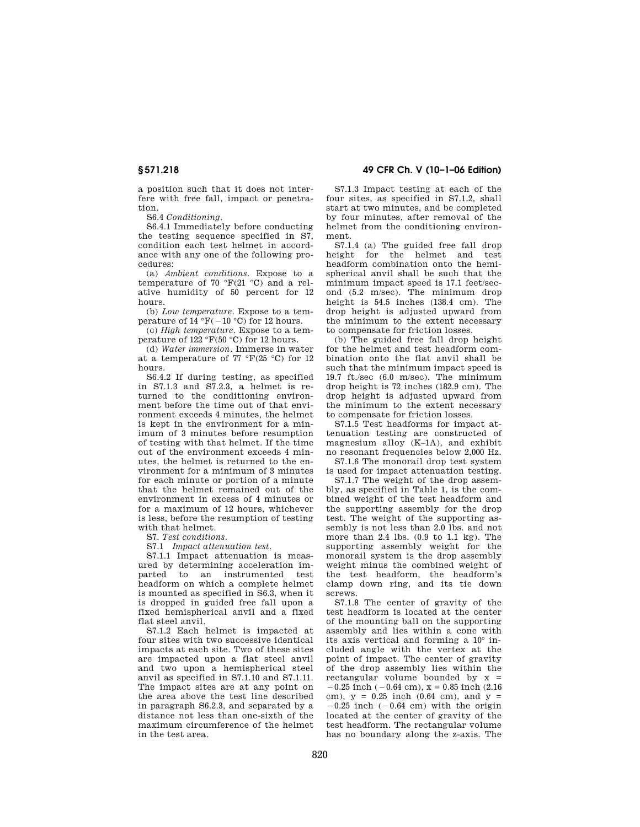a position such that it does not interfere with free fall, impact or penetration.

S6.4 *Conditioning.* 

S6.4.1 Immediately before conducting the testing sequence specified in S7, condition each test helmet in accordance with any one of the following procedures:

(a) *Ambient conditions.* Expose to a temperature of 70 °F(21 °C) and a relative humidity of 50 percent for 12 hours.

(b) *Low temperature.* Expose to a temperature of  $14 \text{ }^\circ \text{F}$  (-10 °C) for 12 hours.

(c) *High temperature.* Expose to a temperature of  $122 \text{ }^{\circ}F(50 \text{ }^{\circ}C)$  for 12 hours.

(d) *Water immersion.* Immerse in water at a temperature of  $77 \text{ }^{\circ}F(25 \text{ }^{\circ}C)$  for 12 hours.

S6.4.2 If during testing, as specified in S7.1.3 and S7.2.3, a helmet is returned to the conditioning environment before the time out of that environment exceeds 4 minutes, the helmet is kept in the environment for a minimum of 3 minutes before resumption of testing with that helmet. If the time out of the environment exceeds 4 minutes, the helmet is returned to the environment for a minimum of 3 minutes for each minute or portion of a minute that the helmet remained out of the environment in excess of 4 minutes or for a maximum of 12 hours, whichever is less, before the resumption of testing with that helmet.

S7. *Test conditions.* 

S7.1 *Impact attenuation test.* 

S7.1.1 Impact attenuation is measured by determining acceleration imparted to an instrumented test headform on which a complete helmet is mounted as specified in S6.3, when it is dropped in guided free fall upon a fixed hemispherical anvil and a fixed flat steel anvil.

S7.1.2 Each helmet is impacted at four sites with two successive identical impacts at each site. Two of these sites are impacted upon a flat steel anvil and two upon a hemispherical steel anvil as specified in S7.1.10 and S7.1.11. The impact sites are at any point on the area above the test line described in paragraph S6.2.3, and separated by a distance not less than one-sixth of the maximum circumference of the helmet in the test area.

**§ 571.218 49 CFR Ch. V (10–1–06 Edition)** 

S7.1.3 Impact testing at each of the four sites, as specified in S7.1.2, shall start at two minutes, and be completed by four minutes, after removal of the helmet from the conditioning environment.

S7.1.4 (a) The guided free fall drop height for the helmet and test headform combination onto the hemispherical anvil shall be such that the minimum impact speed is 17.1 feet/second (5.2 m/sec). The minimum drop height is 54.5 inches (138.4 cm). The drop height is adjusted upward from the minimum to the extent necessary to compensate for friction losses.

(b) The guided free fall drop height for the helmet and test headform combination onto the flat anvil shall be such that the minimum impact speed is 19.7 ft./sec (6.0 m/sec). The minimum drop height is 72 inches (182.9 cm). The drop height is adjusted upward from the minimum to the extent necessary to compensate for friction losses.

S7.1.5 Test headforms for impact attenuation testing are constructed of magnesium alloy (K–1A), and exhibit no resonant frequencies below 2,000 Hz.

S7.1.6 The monorail drop test system is used for impact attenuation testing.

S7.1.7 The weight of the drop assembly, as specified in Table 1, is the combined weight of the test headform and the supporting assembly for the drop test. The weight of the supporting assembly is not less than 2.0 lbs. and not more than 2.4 lbs. (0.9 to 1.1 kg). The supporting assembly weight for the monorail system is the drop assembly weight minus the combined weight of the test headform, the headform's clamp down ring, and its tie down screws.

S7.1.8 The center of gravity of the test headform is located at the center of the mounting ball on the supporting assembly and lies within a cone with its axis vertical and forming a 10° included angle with the vertex at the point of impact. The center of gravity of the drop assembly lies within the rectangular volume bounded by  $x =$  $-0.25$  inch ( $-0.64$  cm),  $x = 0.85$  inch (2.16) cm),  $y = 0.25$  inch (0.64 cm), and  $y =$  $-0.25$  inch ( $-0.64$  cm) with the origin located at the center of gravity of the test headform. The rectangular volume has no boundary along the z-axis. The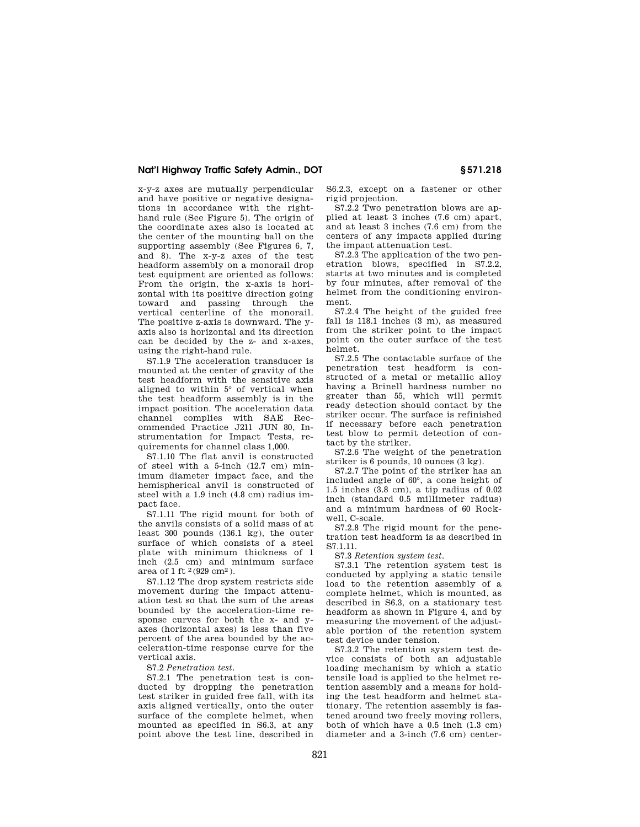x-y-z axes are mutually perpendicular and have positive or negative designations in accordance with the righthand rule (See Figure 5). The origin of the coordinate axes also is located at the center of the mounting ball on the supporting assembly (See Figures 6, 7, and 8). The x-y-z axes of the test headform assembly on a monorail drop test equipment are oriented as follows: From the origin, the x-axis is horizontal with its positive direction going toward and passing through the vertical centerline of the monorail. The positive z-axis is downward. The yaxis also is horizontal and its direction can be decided by the z- and x-axes, using the right-hand rule.

S7.1.9 The acceleration transducer is mounted at the center of gravity of the test headform with the sensitive axis aligned to within 5° of vertical when the test headform assembly is in the impact position. The acceleration data channel complies with SAE Recommended Practice J211 JUN 80, Instrumentation for Impact Tests, requirements for channel class 1,000.

S7.1.10 The flat anvil is constructed of steel with a 5-inch (12.7 cm) minimum diameter impact face, and the hemispherical anvil is constructed of steel with a 1.9 inch (4.8 cm) radius impact face.

S7.1.11 The rigid mount for both of the anvils consists of a solid mass of at least 300 pounds (136.1 kg), the outer surface of which consists of a steel plate with minimum thickness of 1 inch (2.5 cm) and minimum surface area of 1 ft  $^{2}(929 \text{ cm}^{2})$ .

S7.1.12 The drop system restricts side movement during the impact attenuation test so that the sum of the areas bounded by the acceleration-time response curves for both the x- and yaxes (horizontal axes) is less than five percent of the area bounded by the acceleration-time response curve for the vertical axis.

S7.2 *Penetration test.* 

S7.2.1 The penetration test is conducted by dropping the penetration test striker in guided free fall, with its axis aligned vertically, onto the outer surface of the complete helmet, when mounted as specified in S6.3, at any point above the test line, described in S6.2.3, except on a fastener or other rigid projection.

S7.2.2 Two penetration blows are applied at least 3 inches (7.6 cm) apart, and at least 3 inches (7.6 cm) from the centers of any impacts applied during the impact attenuation test.

S7.2.3 The application of the two penetration blows, specified in S7.2.2, starts at two minutes and is completed by four minutes, after removal of the helmet from the conditioning environment.

S7.2.4 The height of the guided free fall is 118.1 inches (3 m), as measured from the striker point to the impact point on the outer surface of the test helmet.

S7.2.5 The contactable surface of the penetration test headform is constructed of a metal or metallic alloy having a Brinell hardness number no greater than 55, which will permit ready detection should contact by the striker occur. The surface is refinished if necessary before each penetration test blow to permit detection of contact by the striker.

S7.2.6 The weight of the penetration striker is 6 pounds, 10 ounces (3 kg).

S7.2.7 The point of the striker has an included angle of 60°, a cone height of 1.5 inches (3.8 cm), a tip radius of 0.02 inch (standard 0.5 millimeter radius) and a minimum hardness of 60 Rockwell, C-scale.

S7.2.8 The rigid mount for the penetration test headform is as described in S7.1.11.

S7.3 *Retention system test.* 

S7.3.1 The retention system test is conducted by applying a static tensile load to the retention assembly of a complete helmet, which is mounted, as described in S6.3, on a stationary test headform as shown in Figure 4, and by measuring the movement of the adjustable portion of the retention system test device under tension.

S7.3.2 The retention system test device consists of both an adjustable loading mechanism by which a static tensile load is applied to the helmet retention assembly and a means for holding the test headform and helmet stationary. The retention assembly is fastened around two freely moving rollers, both of which have a 0.5 inch (1.3 cm) diameter and a 3-inch (7.6 cm) center-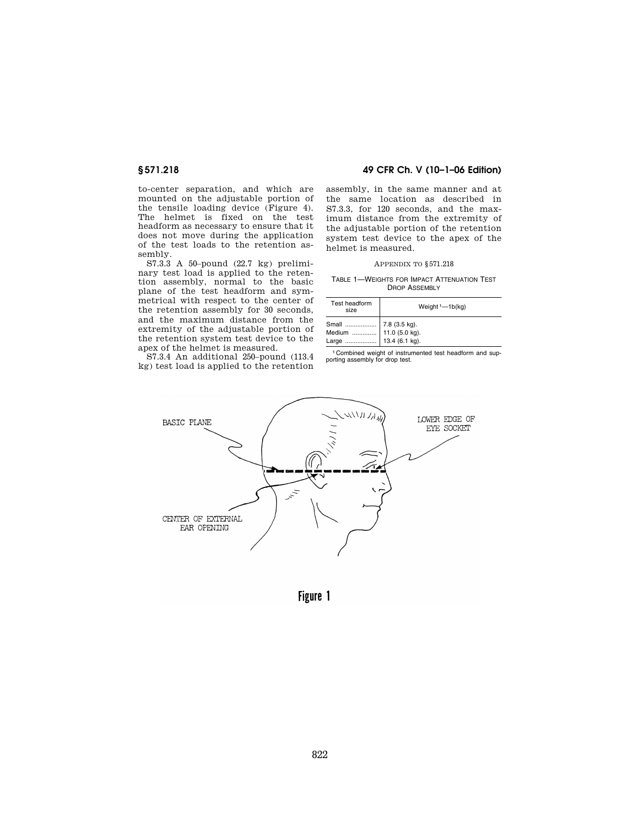to-center separation, and which are mounted on the adjustable portion of the tensile loading device (Figure 4). The helmet is fixed on the test headform as necessary to ensure that it does not move during the application of the test loads to the retention assembly.

S7.3.3 A 50–pound (22.7 kg) preliminary test load is applied to the retention assembly, normal to the basic plane of the test headform and symmetrical with respect to the center of the retention assembly for 30 seconds, and the maximum distance from the extremity of the adjustable portion of the retention system test device to the apex of the helmet is measured.

S7.3.4 An additional 250–pound (113.4 kg) test load is applied to the retention

### **§ 571.218 49 CFR Ch. V (10–1–06 Edition)**

assembly, in the same manner and at the same location as described in S7.3.3, for 120 seconds, and the maximum distance from the extremity of the adjustable portion of the retention system test device to the apex of the helmet is measured.

#### APPENDIX TO §571.218

TABLE 1—WEIGHTS FOR IMPACT ATTENUATION TEST DROP ASSEMBLY

| Test headform<br>size    | Weight $1 - 1b$ (kg)                              |
|--------------------------|---------------------------------------------------|
| Small<br>Medium<br>Large | 7.8 (3.5 kg).<br>11.0 (5.0 kg).<br>13.4 (6.1 kg). |

1 Combined weight of instrumented test headform and sup-porting assembly for drop test.



Figure 1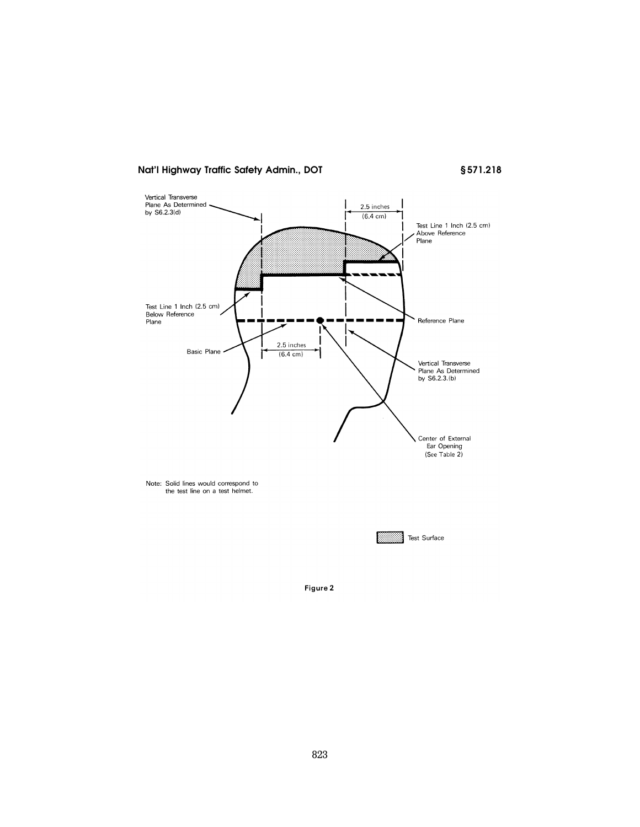§571.218



Figure 2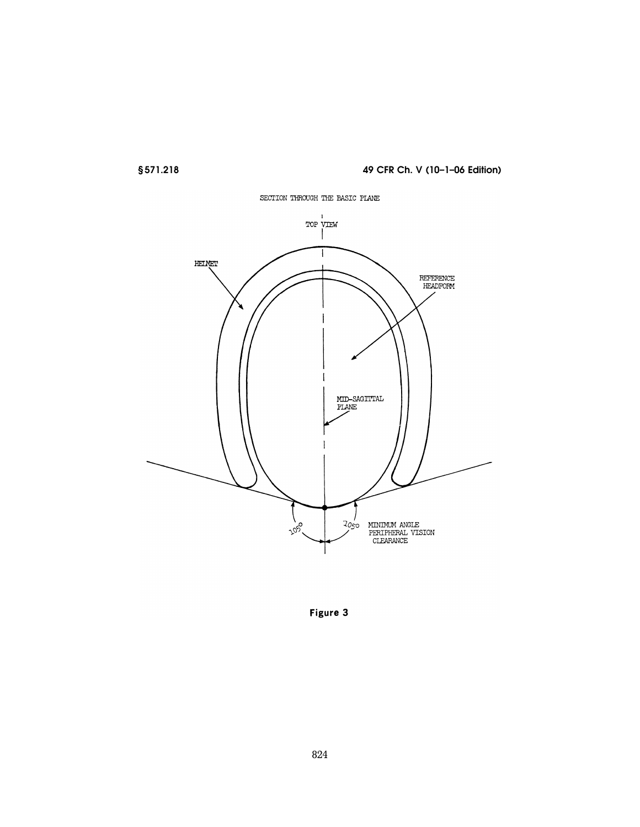



Figure 3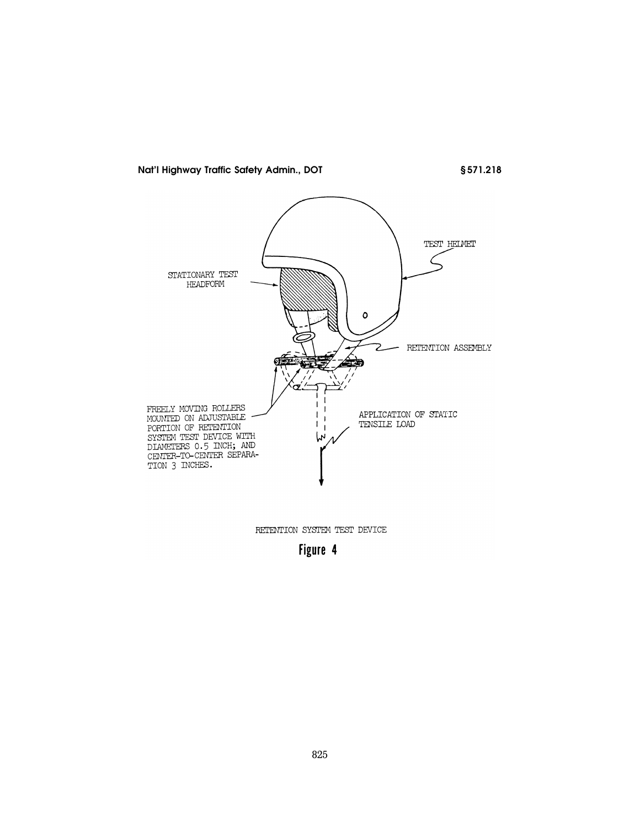§571.218



RETENTION SYSTEM TEST DEVICE

Figure 4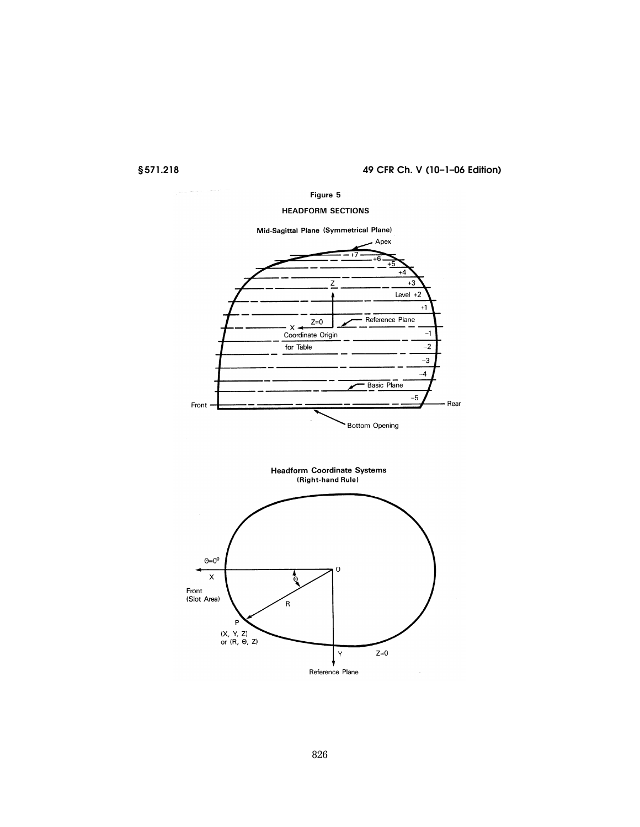Figure 5

## **HEADFORM SECTIONS**

Mid-Sagittal Plane (Symmetrical Plane)



Headform Coordinate Systems<br>(Right-hand Rule)

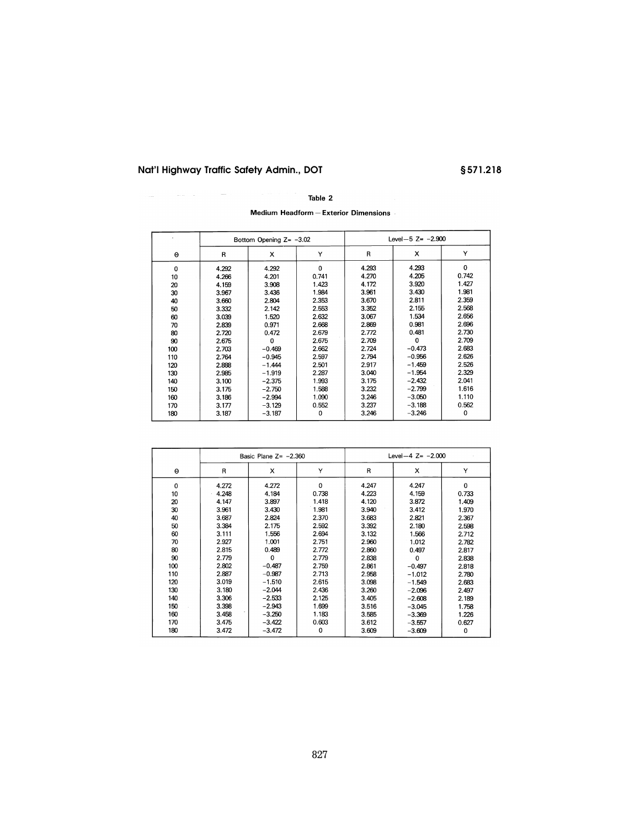$\Delta\omega_{\rm{eff}}=0.1$ 

§571.218

## Table 2

Medium Headform - Exterior Dimensions

|             | Bottom Opening $Z = -3.02$ |             |          | Level-5 $Z = -2.900$ |          |             |
|-------------|----------------------------|-------------|----------|----------------------|----------|-------------|
| $\Theta$    | R                          | x           | Υ        | R                    | x        | Υ           |
| $\mathbf 0$ | 4.292                      | 4.292       | $\Omega$ | 4.293                | 4.293    | $\mathbf 0$ |
| 10          | 4.266                      | 4.201       | 0.741    | 4.270                | 4.205    | 0.742       |
| 20          | 4.159                      | 3.908       | 1.423    | 4.172                | 3.920    | 1.427       |
| 30          | 3.967                      | 3.436       | 1.984    | 3.961                | 3.430    | 1.981       |
| 40          | 3.660                      | 2.804       | 2.353    | 3.670                | 2.811    | 2.359       |
| 50          | 3.332                      | 2.142       | 2.553    | 3.352                | 2.155    | 2.568       |
| 60          | 3.039                      | 1.520       | 2.632    | 3.067                | 1.534    | 2.656       |
| 70          | 2.839                      | 0.971       | 2.668    | 2.869                | 0.981    | 2.696       |
| 80          | 2.720                      | 0.472       | 2.679    | 2.772                | 0.481    | 2.730       |
| 90          | 2.675                      | $\mathbf 0$ | 2.675    | 2.709                | $\Omega$ | 2.709       |
| 100         | 2.703                      | $-0.469$    | 2.662    | 2.724                | $-0.473$ | 2.683       |
| 110         | 2.764                      | $-0.945$    | 2.597    | 2.794                | $-0.956$ | 2.626       |
| 120         | 2.888                      | $-1.444$    | 2.501    | 2.917                | $-1.459$ | 2.526       |
| 130         | 2.985                      | $-1.919$    | 2.287    | 3.040                | $-1.954$ | 2.329       |
| 140         | 3.100                      | $-2.375$    | 1.993    | 3.175                | $-2.432$ | 2.041       |
| 150         | 3.175                      | $-2.750$    | 1.588    | 3.232                | $-2.799$ | 1.616       |
| 160         | 3.186                      | $-2.994$    | 1.090    | 3.246                | $-3.050$ | 1.110       |
| 170         | 3.177                      | $-3.129$    | 0.552    | 3.237                | $-3.188$ | 0.562       |
| 180         | 3.187                      | $-3.187$    | 0        | 3.246                | $-3.246$ | 0           |

|     | Basic Plane $Z = -2.360$ |          | Level-4 $Z = -2.000$ |       |             |             |
|-----|--------------------------|----------|----------------------|-------|-------------|-------------|
| Θ   | R                        | x        | Υ                    | R     | x           | Y           |
| 0   | 4.272                    | 4.272    | $\Omega$             | 4.247 | 4.247       | $\mathbf 0$ |
| 10  | 4.248                    | 4.184    | 0.738                | 4.223 | 4.159       | 0.733       |
| 20  | 4.147                    | 3.897    | 1.418                | 4.120 | 3.872       | 1.409       |
| 30  | 3.961                    | 3.430    | 1.981                | 3.940 | 3.412       | 1.970       |
| 40  | 3.687                    | 2.824    | 2.370                | 3.683 | 2.821       | 2.367       |
| 50  | 3.384                    | 2.175    | 2.592                | 3.392 | 2.180       | 2.598       |
| 60  | 3.111                    | 1.556    | 2.694                | 3.132 | 1.566       | 2.712       |
| 70  | 2.927                    | 1.001    | 2.751                | 2.960 | 1.012       | 2.782       |
| 80  | 2.815                    | 0.489    | 2.772                | 2.860 | 0.497       | 2.817       |
| 90  | 2.779                    | $\Omega$ | 2.779                | 2.838 | $\mathbf 0$ | 2.838       |
| 100 | 2.802                    | $-0.487$ | 2.759                | 2.861 | $-0.497$    | 2.818       |
| 110 | 2.887                    | $-0.987$ | 2.713                | 2.958 | $-1.012$    | 2.780       |
| 120 | 3.019                    | $-1.510$ | 2.615                | 3.098 | $-1.549$    | 2.683       |
| 130 | 3.180                    | $-2.044$ | 2.436                | 3.260 | $-2.096$    | 2.497       |
| 140 | 3.306                    | $-2.533$ | 2.125                | 3.405 | $-2.608$    | 2.189       |
| 150 | 3.398                    | $-2.943$ | 1.699                | 3.516 | $-3.045$    | 1.758       |
| 160 | 3.458                    | $-3.250$ | 1.183                | 3.585 | $-3.369$    | 1.226       |
| 170 | 3.475                    | $-3.422$ | 0.603                | 3.612 | $-3.557$    | 0.627       |
| 180 | 3.472                    | $-3.472$ | $\mathbf 0$          | 3.609 | $-3.609$    | 0           |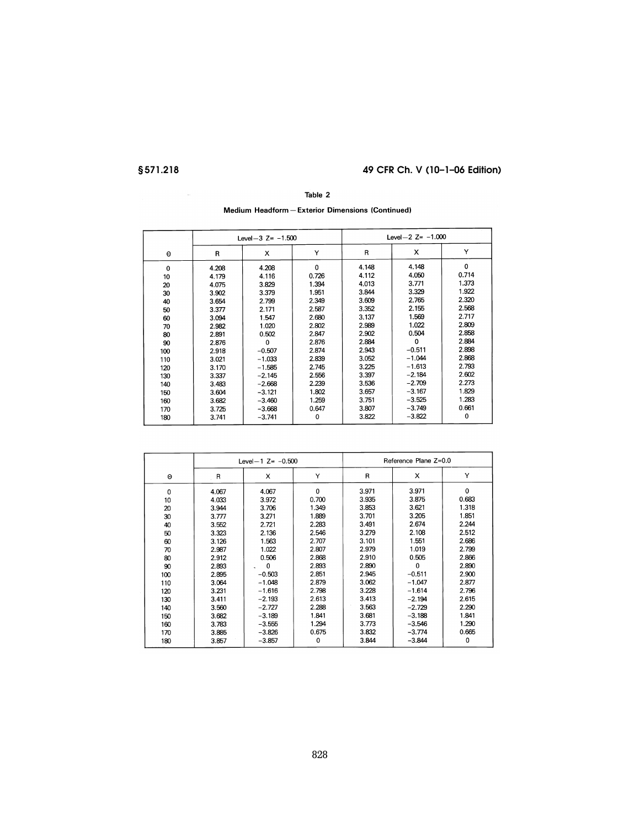## Table 2

## Medium Headform - Exterior Dimensions (Continued)

|          |       | Level-3 $Z = -1.500$ |             | Level- $2$ Z= $-1.000$ |          |             |
|----------|-------|----------------------|-------------|------------------------|----------|-------------|
| $\Theta$ | R     | x                    | Y           | R                      | х        | Y           |
| $\Omega$ | 4.208 | 4.208                | $\mathbf 0$ | 4.148                  | 4.148    | $\mathbf 0$ |
| 10       | 4.179 | 4.116                | 0.726       | 4.112                  | 4.050    | 0.714       |
| 20       | 4.075 | 3.829                | 1.394       | 4.013                  | 3.771    | 1.373       |
| 30       | 3.902 | 3.379                | 1.951       | 3.844                  | 3.329    | 1.922       |
| 40       | 3.654 | 2.799                | 2.349       | 3.609                  | 2.765    | 2.320       |
| 50       | 3.377 | 2.171                | 2.587       | 3.352                  | 2.155    | 2.568       |
| 60       | 3.094 | 1.547                | 2.680       | 3.137                  | 1.569    | 2.717       |
| 70       | 2.982 | 1.020                | 2.802       | 2.989                  | 1.022    | 2.809       |
| 80       | 2.891 | 0.502                | 2.847       | 2.902                  | 0.504    | 2.858       |
| 90       | 2.876 | $\Omega$             | 2.876       | 2.884                  | 0        | 2.884       |
| 100      | 2.918 | $-0.507$             | 2.874       | 2.943                  | $-0.511$ | 2.898       |
| 110      | 3.021 | $-1.033$             | 2.839       | 3.052                  | $-1.044$ | 2.868       |
| 120      | 3.170 | $-1.585$             | 2.745       | 3.225                  | $-1.613$ | 2.793       |
| 130      | 3.337 | $-2.145$             | 2.556       | 3.397                  | $-2.184$ | 2.602       |
| 140      | 3.483 | $-2.668$             | 2.239       | 3.536                  | $-2.709$ | 2.273       |
| 150      | 3.604 | $-3.121$             | 1.802       | 3.657                  | $-3.167$ | 1.829       |
| 160      | 3.682 | $-3.460$             | 1.259       | 3.751                  | $-3.525$ | 1.283       |
| 170      | 3.725 | $-3.668$             | 0.647       | 3.807                  | $-3.749$ | 0.661       |
| 180      | 3.741 | $-3.741$             | 0           | 3.822                  | $-3.822$ | 0           |
|          |       |                      |             |                        |          |             |

|     |       | Level-1 $Z = -0.500$ |          | Reference Plane Z=0.0 |          |          |
|-----|-------|----------------------|----------|-----------------------|----------|----------|
| Θ   | R     | X                    | Υ        | R                     | x        | Y        |
| 0   | 4.067 | 4.067                | $\Omega$ | 3.971                 | 3.971    | $\Omega$ |
| 10  | 4.033 | 3.972                | 0.700    | 3.935                 | 3.875    | 0.683    |
| 20  | 3.944 | 3.706                | 1.349    | 3.853                 | 3.621    | 1.318    |
| 30  | 3.777 | 3.271                | 1.889    | 3.701                 | 3.205    | 1.851    |
| 40  | 3.552 | 2.721                | 2.283    | 3.491                 | 2.674    | 2.244    |
| 50  | 3.323 | 2.136                | 2.546    | 3.279                 | 2.108    | 2.512    |
| 60  | 3.126 | 1.563                | 2.707    | 3.101                 | 1.551    | 2.686    |
| 70  | 2.987 | 1.022                | 2.807    | 2.979                 | 1.019    | 2.799    |
| 80  | 2.912 | 0.506                | 2.868    | 2.910                 | 0.505    | 2.866    |
| 90  | 2.893 | 0                    | 2.893    | 2.890                 | 0        | 2.890    |
| 100 | 2.895 | $-0.503$             | 2.851    | 2.945                 | $-0.511$ | 2.900    |
| 110 | 3.064 | $-1.048$             | 2.879    | 3.062                 | $-1.047$ | 2.877    |
| 120 | 3.231 | $-1.616$             | 2.798    | 3.228                 | $-1.614$ | 2.796    |
| 130 | 3.411 | $-2.193$             | 2.613    | 3.413                 | $-2.194$ | 2.615    |
| 140 | 3.560 | $-2.727$             | 2.288    | 3.563                 | $-2.729$ | 2.290    |
| 150 | 3.682 | $-3.189$             | 1.841    | 3.681                 | $-3.188$ | 1.841    |
| 160 | 3.783 | $-3.555$             | 1.294    | 3.773                 | $-3.546$ | 1.290    |
| 170 | 3.885 | $-3.826$             | 0.675    | 3.832                 | $-3.774$ | 0.665    |
| 180 | 3.857 | $-3.857$             | 0        | 3.844                 | $-3.844$ | 0        |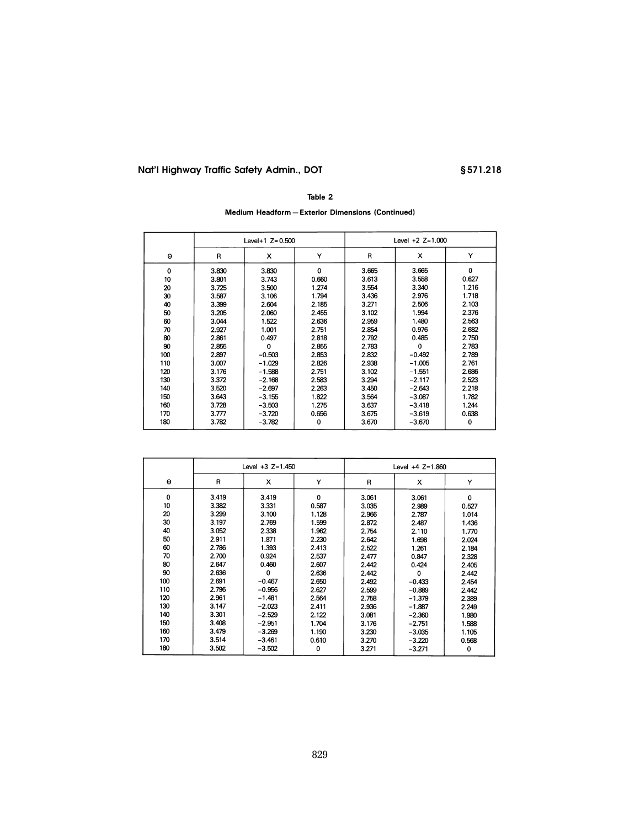# §571.218

## Table 2

Medium Headform - Exterior Dimensions (Continued)

|             |       | Level+1 $Z = 0.500$ |          | Level $+2$ Z=1.000 |          |       |
|-------------|-------|---------------------|----------|--------------------|----------|-------|
| Θ           | R     | x                   | Υ        | R                  | x        | Y     |
| $\mathbf 0$ | 3.830 | 3.830               | $\Omega$ | 3.665              | 3.665    | 0     |
| 10          | 3.801 | 3.743               | 0.660    | 3.613              | 3.558    | 0.627 |
| 20          | 3.725 | 3.500               | 1.274    | 3.554              | 3.340    | 1.216 |
| 30          | 3.587 | 3.106               | 1.794    | 3.436              | 2.976    | 1.718 |
| 40          | 3.399 | 2.604               | 2.185    | 3.271              | 2.506    | 2.103 |
| 50          | 3.205 | 2.060               | 2.455    | 3.102              | 1.994    | 2.376 |
| 60          | 3.044 | 1.522               | 2.636    | 2.959              | 1.480    | 2.563 |
| 70          | 2.927 | 1.001               | 2.751    | 2.854              | 0.976    | 2.682 |
| 80          | 2.861 | 0.497               | 2.818    | 2.792              | 0.485    | 2.750 |
| 90          | 2.855 | 0                   | 2.855    | 2.783              | $\Omega$ | 2.783 |
| 100         | 2.897 | $-0.503$            | 2.853    | 2.832              | $-0.492$ | 2.789 |
| 110         | 3.007 | $-1.029$            | 2.826    | 2.938              | $-1.005$ | 2.761 |
| 120         | 3.176 | $-1.588$            | 2.751    | 3.102              | $-1.551$ | 2.686 |
| 130         | 3.372 | $-2.168$            | 2.583    | 3.294              | $-2.117$ | 2.523 |
| 140         | 3.520 | $-2.697$            | 2.263    | 3.450              | $-2.643$ | 2.218 |
| 150         | 3.643 | $-3,155$            | 1.822    | 3.564              | $-3.087$ | 1.782 |
| 160         | 3.728 | $-3.503$            | 1.275    | 3.637              | $-3.418$ | 1.244 |
| 170         | 3.777 | $-3.720$            | 0.656    | 3.675              | $-3.619$ | 0.638 |
| 180         | 3.782 | $-3.782$            | 0        | 3.670              | $-3.670$ | 0     |

|          | Level $+3$ Z=1.450 |             |       | Level $+4$ Z=1.860 |          |       |
|----------|--------------------|-------------|-------|--------------------|----------|-------|
| $\Theta$ | R                  | x           | Y     | R                  | x        | Y     |
| 0        | 3.419              | 3.419       | 0     | 3.061              | 3.061    | 0     |
| 10       | 3.382              | 3.331       | 0.587 | 3.035              | 2.989    | 0.527 |
| 20       | 3.299              | 3.100       | 1.128 | 2.966              | 2.787    | 1.014 |
| 30       | 3.197              | 2.769       | 1.599 | 2.872              | 2.487    | 1.436 |
| 40       | 3.052              | 2.338       | 1.962 | 2.754              | 2.110    | 1.770 |
| 50       | 2.911              | 1.871       | 2.230 | 2.642              | 1.698    | 2.024 |
| 60       | 2.786              | 1.393       | 2.413 | 2.522              | 1.261    | 2.184 |
| 70       | 2.700              | 0.924       | 2.537 | 2.477              | 0.847    | 2.328 |
| 80       | 2.647              | 0.460       | 2.607 | 2.442              | 0.424    | 2.405 |
| 90       | 2.636              | $\mathbf 0$ | 2.636 | 2.442              | 0        | 2.442 |
| 100      | 2.691              | $-0.467$    | 2.650 | 2.492              | $-0.433$ | 2.454 |
| 110      | 2.796              | $-0.956$    | 2.627 | 2.599              | $-0.889$ | 2.442 |
| 120      | 2.961              | $-1.481$    | 2.564 | 2.758              | $-1.379$ | 2.389 |
| 130      | 3.147              | $-2.023$    | 2.411 | 2.936              | $-1.887$ | 2.249 |
| 140      | 3.301              | $-2.529$    | 2.122 | 3.081              | $-2.360$ | 1.980 |
| 150      | 3.408              | $-2.951$    | 1.704 | 3.176              | $-2.751$ | 1.588 |
| 160      | 3.479              | $-3.269$    | 1.190 | 3.230              | $-3.035$ | 1.105 |
| 170      | 3.514              | $-3.461$    | 0.610 | 3.270              | $-3.220$ | 0.568 |
| 180      | 3.502              | $-3.502$    | 0     | 3.271              | $-3.271$ | 0     |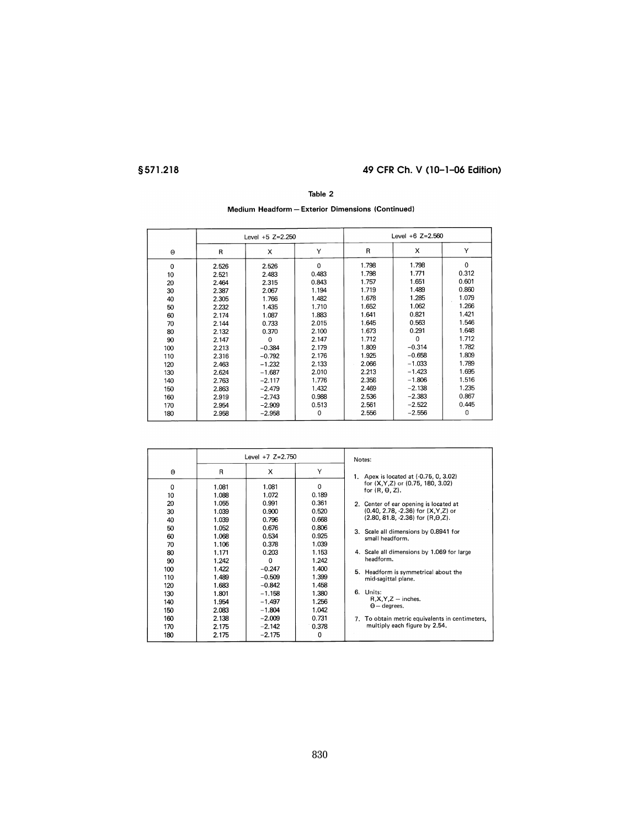#### Table 2

# Medium Headform - Exterior Dimensions (Continued)

|     |       | Level $+5$ Z=2.250 |          | Level $+6$ Z=2.560 |          |          |
|-----|-------|--------------------|----------|--------------------|----------|----------|
| Θ   | R     | x                  | Y        | R                  | x        | Υ        |
| 0   | 2.526 | 2.526              | $\Omega$ | 1.798              | 1.798    | $\Omega$ |
| 10  | 2.521 | 2.483              | 0.483    | 1.798              | 1.771    | 0.312    |
| 20  | 2.464 | 2.315              | 0.843    | 1.757              | 1.651    | 0.601    |
| 30  | 2.387 | 2.067              | 1.194    | 1.719              | 1.489    | 0.860    |
| 40  | 2.305 | 1.766              | 1.482    | 1.678              | 1.285    | 1.079    |
| 50  | 2.232 | 1.435              | 1.710    | 1.652              | 1.062    | 1.266    |
| 60  | 2.174 | 1.087              | 1.883    | 1.641              | 0.821    | 1.421    |
| 70  | 2.144 | 0.733              | 2.015    | 1.645              | 0.563    | 1.546    |
| 80  | 2.132 | 0.370              | 2.100    | 1.673              | 0.291    | 1.648    |
| 90  | 2.147 | $\mathbf 0$        | 2.147    | 1.712              | $\Omega$ | 1.712    |
| 100 | 2.213 | $-0.384$           | 2.179    | 1.809              | $-0.314$ | 1.782    |
| 110 | 2.316 | $-0.792$           | 2.176    | 1.925              | $-0.658$ | 1.809    |
| 120 | 2.463 | $-1.232$           | 2.133    | 2.066              | $-1.033$ | 1.789    |
| 130 | 2.624 | $-1.687$           | 2.010    | 2.213              | $-1.423$ | 1.695    |
| 140 | 2.763 | $-2.117$           | 1.776    | 2.358              | $-1.806$ | 1.516    |
| 150 | 2.863 | $-2.479$           | 1.432    | 2.469              | $-2.138$ | 1.235    |
| 160 | 2.919 | $-2.743$           | 0.988    | 2.536              | $-2.383$ | 0.867    |
| 170 | 2.954 | $-2.909$           | 0.513    | 2.561              | $-2.522$ | 0.445    |
| 180 | 2.958 | $-2.958$           | 0        | 2.556              | $-2.556$ | 0        |

|          | Level $+7$ Z=2.750 |                |                | Notes:                                       |
|----------|--------------------|----------------|----------------|----------------------------------------------|
| Θ        | R                  | x              | Y              | Apex is located at (-0.75, 0, 3.02)<br>1.    |
| 0        | 1.081              | 1.081          | $\Omega$       | for (X, Y, Z) or (0.75, 180, 3.02)           |
| 10       | 1.088              | 1.072          | 0.189          | for $(R, \theta, Z)$ .                       |
| 20       | 1.055              | 0.991          | 0.361          | 2. Center of ear opening is located at       |
| 30       | 1.039              | 0.900          | 0.520          | (0.40, 2.78, -2.36) for (X, Y, Z) or         |
| 40       | 1.039              | 0.796          | 0.668          | $(2.80, 81.8, -2.36)$ for $(R.\theta.Z)$ .   |
| 50       | 1.052              | 0.676          | 0.806          | 3. Scale all dimensions by 0.8941 for        |
| 60       | 1.068              | 0.534          | 0.925          | small headform.                              |
| 70<br>80 | 1.106<br>1.171     | 0.378<br>0.203 | 1.039<br>1.153 | 4. Scale all dimensions by 1.069 for large   |
| 90       | 1.242              | 0              | 1.242          | headform.                                    |
| 100      | 1.422              | $-0.247$       | 1.400          | Headform is symmetrical about the            |
| 110      | 1.489              | $-0.509$       | 1.399          | 5.                                           |
| 120      | 1.683              | $-0.842$       | 1.458          | mid-sagittal plane.                          |
| 130      | 1.801              | $-1.158$       | 1.380          | 6. Units:                                    |
| 140      | 1.954              | $-1.497$       | 1.256          | $R, X, Y, Z$ – inches.                       |
| 150      | 2.083              | $-1.804$       | 1.042          | $\Theta$ – degrees.                          |
| 160      | 2.138              | $-2.009$       | 0.731          | To obtain metric equivalents in centimeters, |
| 170      | 2.175              | $-2.142$       | 0.378          | 7.                                           |
| 180      | 2.175              | $-2.175$       | 0              | multiply each figure by 2.54.                |
|          |                    |                |                |                                              |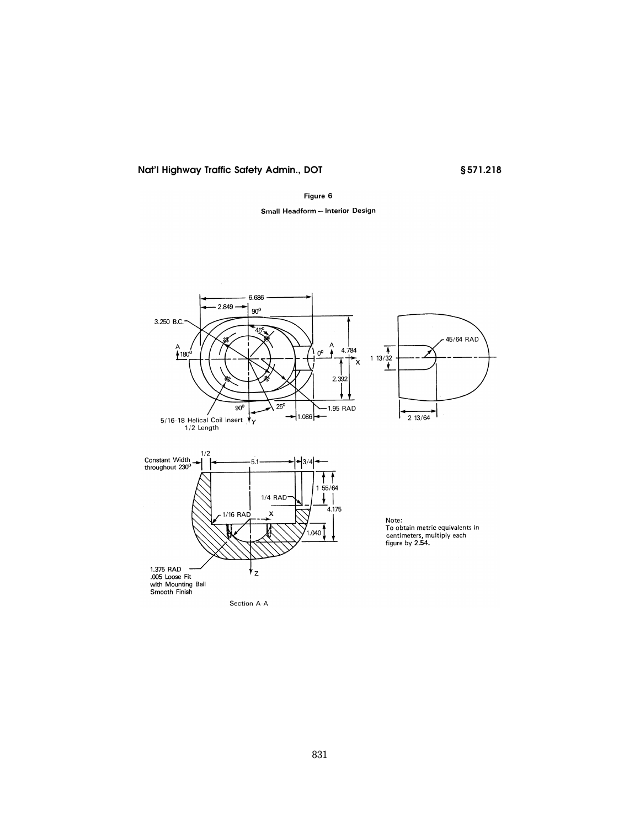# §571.218

#### Figure 6

# Small Headform - Interior Design

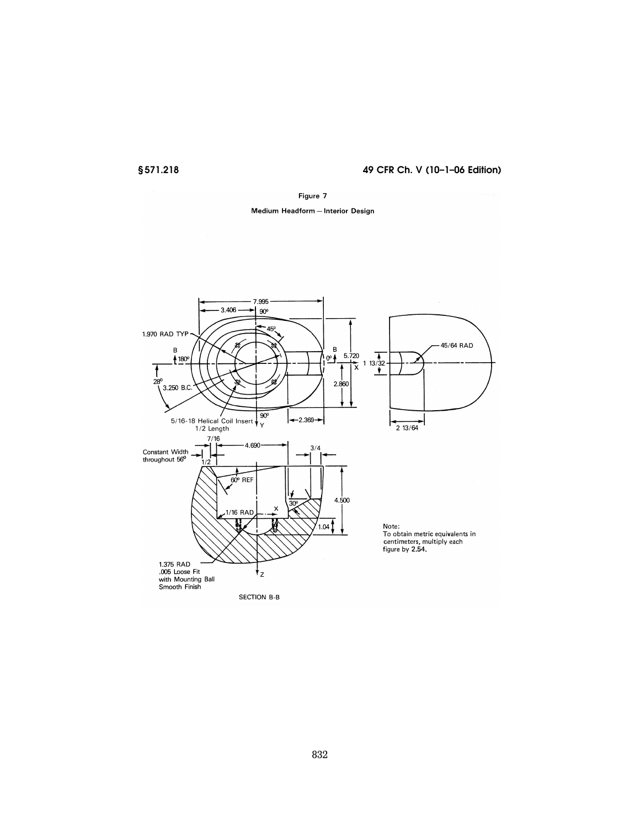#### Figure 7

## Medium Headform - Interior Design